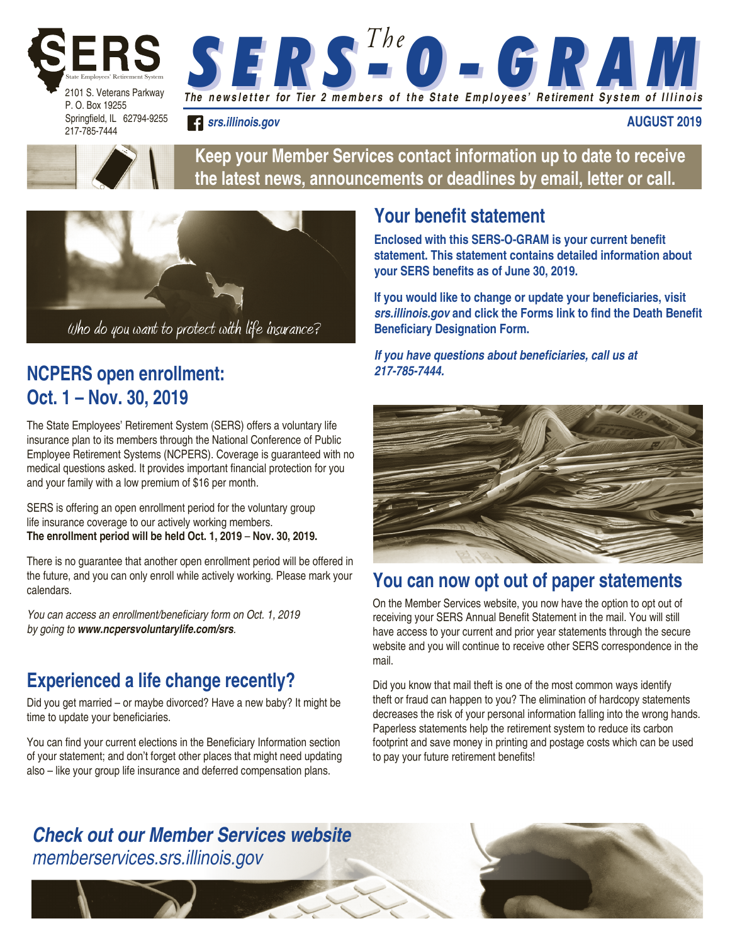

Springfield, IL 62794-9255 217-785-7444

> **Keep your Member Services contact information up to date to receive the latest news, announcements or deadlines by email, letter or call.**

*The n e w s l e t t e r for Tier 2 m e m b e r s o f t h e S t a t e E m p l o y e e s' R e tirement S y s t e m o f I l l i n o i s* 

*S E R S - O - G R A M S E R S - O - G R A M T h e*



*srs.illinois.gov*

## **NCPERS open enrollment: Oct. 1 – Nov. 30, 2019**

The State Employees' Retirement System (SERS) offers a voluntary life insurance plan to its members through the National Conference of Public Employee Retirement Systems (NCPERS). Coverage is guaranteed with no medical questions asked. It provides important financial protection for you and your family with a low premium of \$16 per month.

SERS is offering an open enrollment period for the voluntary group life insurance coverage to our actively working members. **The enrollment period will be held Oct. 1, 2019** – **Nov. 30, 2019.** 

There is no guarantee that another open enrollment period will be offered in the future, and you can only enroll while actively working. Please mark your calendars.

You can access an enrollment/beneficiary form on Oct. 1, 2019 by going to *www.ncpersvoluntarylife.com/srs*.

# **Experienced a life change recently?**

Did you get married – or maybe divorced? Have a new baby? It might be time to update your beneficiaries.

You can find your current elections in the Beneficiary Information section of your statement; and don't forget other places that might need updating also – like your group life insurance and deferred compensation plans.

# **Your benefit statement**

**Enclosed with this SERS-O-GRAM is your current benefit statement. This statement contains detailed information about your SERS benefits as of June 30, 2019.** 

**AUGUST 2019**

**If you would like to change or update your beneficiaries, visit**  *srs.illinois.gov* **and click the Forms link to find the Death Benefit Beneficiary Designation Form.**

**If you have questions about beneficiaries, call us at**  *217-785-7444.* 



### **You can now opt out of paper statements**

On the Member Services website, you now have the option to opt out of receiving your SERS Annual Benefit Statement in the mail. You will still have access to your current and prior year statements through the secure website and you will continue to receive other SERS correspondence in the mail.

Did you know that mail theft is one of the most common ways identify theft or fraud can happen to you? The elimination of hardcopy statements decreases the risk of your personal information falling into the wrong hands. Paperless statements help the retirement system to reduce its carbon footprint and save money in printing and postage costs which can be used to pay your future retirement benefits!

### *Check out our Member Services website* memberservices.srs.illinois.gov

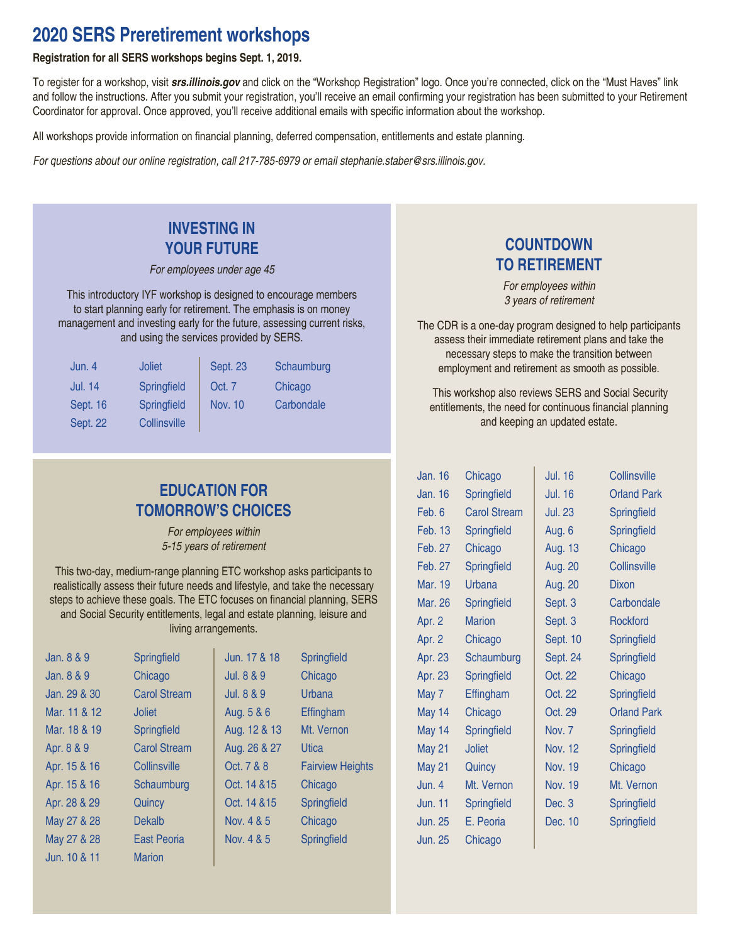### **2020 SERS Preretirement workshops**

#### **Registration for all SERS workshops begins Sept. 1, 2019.**

To register for a workshop, visit *srs.illinois.gov* and click on the "Workshop Registration" logo. Once you're connected, click on the "Must Haves" link and follow the instructions. After you submit your registration, you'll receive an email confirming your registration has been submitted to your Retirement Coordinator for approval. Once approved, you'll receive additional emails with specific information about the workshop.

All workshops provide information on financial planning, deferred compensation, entitlements and estate planning.

For questions about our online registration, call 217-785-6979 or email stephanie.staber@srs.illinois.gov.

### **INVESTING IN YOUR FUTURE**

For employees under age 45

This introductory IYF workshop is designed to encourage members to start planning early for retirement. The emphasis is on money management and investing early for the future, assessing current risks, and using the services provided by SERS.

| Jun. 4          | <b>Joliet</b>      | <b>Sept. 23</b> | Schaumburg |
|-----------------|--------------------|-----------------|------------|
| <b>Jul. 14</b>  | <b>Springfield</b> | Oct. 7          | Chicago    |
| Sept. 16        | <b>Springfield</b> | Nov. 10         | Carbondale |
| <b>Sept. 22</b> | Collinsville       |                 |            |

### **EDUCATION FOR TOMORROW'S CHOICES**

For employees within 5-15 years of retirement

This two-day, medium-range planning ETC workshop asks participants to realistically assess their future needs and lifestyle, and take the necessary steps to achieve these goals. The ETC focuses on financial planning, SERS and Social Security entitlements, legal and estate planning, leisure and living arrangements.

| Jan. 8 & 9   | Springfield         | Jun. 17 & 18 | Springfield             |
|--------------|---------------------|--------------|-------------------------|
| Jan. 8 & 9   | Chicago             | Jul. 8 & 9   | Chicago                 |
| Jan. 29 & 30 | <b>Carol Stream</b> | Jul. 8 & 9   | Urbana                  |
| Mar. 11 & 12 | <b>Joliet</b>       | Aug. 5 & 6   | Effingham               |
| Mar. 18 & 19 | Springfield         | Aug. 12 & 13 | Mt. Vernon              |
| Apr. 8 & 9   | <b>Carol Stream</b> | Aug. 26 & 27 | <b>Utica</b>            |
| Apr. 15 & 16 | Collinsville        | Oct. 7 & 8   | <b>Fairview Heights</b> |
| Apr. 15 & 16 | Schaumburg          | Oct. 14 & 15 | Chicago                 |
| Apr. 28 & 29 | Quincy              | Oct. 14 & 15 | Springfield             |
| May 27 & 28  | Dekalb              | Nov. 4 & 5   | Chicago                 |
| May 27 & 28  | <b>East Peoria</b>  | Nov. 4 & 5   | Springfield             |
| Jun. 10 & 11 | <b>Marion</b>       |              |                         |
|              |                     |              |                         |

### **COUNTDOWN TO RETIREMENT**

For employees within 3 years of retirement

The CDR is a one-day program designed to help participants assess their immediate retirement plans and take the necessary steps to make the transition between employment and retirement as smooth as possible.

 This workshop also reviews SERS and Social Security entitlements, the need for continuous financial planning and keeping an updated estate.

| <b>Jan. 16</b> | Chicago             | <b>Jul. 16</b> | Collinsville       |
|----------------|---------------------|----------------|--------------------|
| Jan. 16        | Springfield         | <b>Jul. 16</b> | <b>Orland Park</b> |
| Feb. 6         | <b>Carol Stream</b> | <b>Jul. 23</b> | Springfield        |
| Feb. 13        | Springfield         | Aug. 6         | Springfield        |
| Feb. 27        | Chicago             | Aug. 13        | Chicago            |
| Feb. 27        | Springfield         | Aug. 20        | Collinsville       |
| Mar. 19        | Urbana              | <b>Aug. 20</b> | <b>Dixon</b>       |
| Mar. 26        | Springfield         | Sept. 3        | Carbondale         |
| Apr. 2         | <b>Marion</b>       | Sept. 3        | Rockford           |
| Apr. 2         | Chicago             | Sept. 10       | Springfield        |
| Apr. 23        | Schaumburg          | Sept. 24       | Springfield        |
| Apr. 23        | Springfield         | Oct. 22        | Chicago            |
| May 7          | Effingham           | Oct. 22        | Springfield        |
| May 14         | Chicago             | Oct. 29        | <b>Orland Park</b> |
| May 14         | Springfield         | Nov. 7         | Springfield        |
| <b>May 21</b>  | <b>Joliet</b>       | <b>Nov. 12</b> | Springfield        |
| May 21         | Quincy              | <b>Nov. 19</b> | Chicago            |
| Jun. 4         | Mt. Vernon          | Nov. 19        | Mt. Vernon         |
| <b>Jun. 11</b> | Springfield         | Dec. 3         | Springfield        |
| <b>Jun. 25</b> | E. Peoria           | Dec. 10        | Springfield        |
| <b>Jun. 25</b> | Chicago             |                |                    |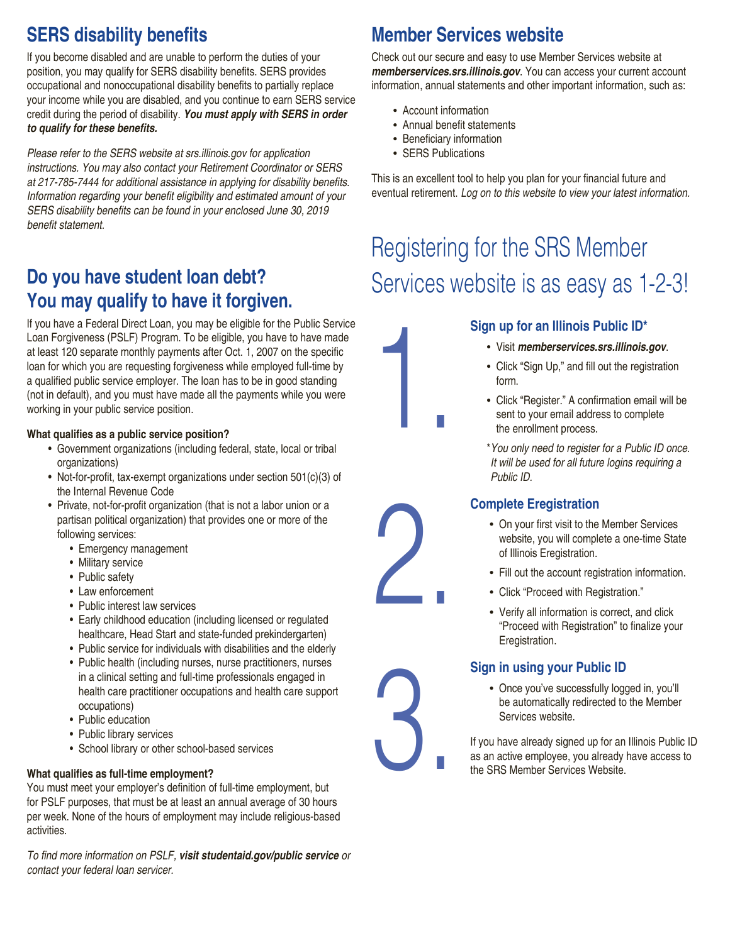# **SERS disability benefits**

If you become disabled and are unable to perform the duties of your position, you may qualify for SERS disability benefits. SERS provides occupational and nonoccupational disability benefits to partially replace your income while you are disabled, and you continue to earn SERS service credit during the period of disability. *You must apply with SERS in order*  **to qualify for these benefits.**

Please refer to the SERS website at srs.illinois.gov for application instructions. You may also contact your Retirement Coordinator or SERS at 217-785-7444 for additional assistance in applying for disability benefits. Information regarding your benefit eligibility and estimated amount of your SERS disability benefits can be found in your enclosed June 30, 2019 benefit statement.

# **Do you have student loan debt? You may qualify to have it forgiven.**

If you have a Federal Direct Loan, you may be eligible for the Public Service Loan Forgiveness (PSLF) Program. To be eligible, you have to have made at least 120 separate monthly payments after Oct. 1, 2007 on the specific loan for which you are requesting forgiveness while employed full-time by a qualified public service employer. The loan has to be in good standing (not in default), and you must have made all the payments while you were working in your public service position.

#### **What qualifies as a public service position?**

- Government organizations (including federal, state, local or tribal organizations)
- Not-for-profit, tax-exempt organizations under section 501(c)(3) of the Internal Revenue Code
- Private, not-for-profit organization (that is not a labor union or a partisan political organization) that provides one or more of the following services:
	- Emergency management
	- Military service
	- Public safety
	- Law enforcement
	- Public interest law services
	- Early childhood education (including licensed or regulated healthcare, Head Start and state-funded prekindergarten)
	- Public service for individuals with disabilities and the elderly
	- Public health (including nurses, nurse practitioners, nurses in a clinical setting and full-time professionals engaged in health care practitioner occupations and health care support occupations)
	- Public education
	- Public library services
	- School library or other school-based services

#### **What qualifies as full-time employment?**

You must meet your employer's definition of full-time employment, but for PSLF purposes, that must be at least an annual average of 30 hours per week. None of the hours of employment may include religious-based activities.

To find more information on PSLF, *visit studentaid.gov/public service or*  contact your federal loan servicer.

# **Member Services website**

Check out our secure and easy to use Member Services website at *memberservices.srs.illinois.gov*. You can access your current account information, annual statements and other important information, such as:

- Account information
- Annual benefit statements
- Beneficiary information
- SERS Publications

This is an excellent tool to help you plan for your financial future and eventual retirement. Log on to this website to view your latest information.

# Registering for the SRS Member Services website is as easy as 1-2-3!

#### **Sign up for an Illinois Public ID\***

- Visit *memberservices.srs.illinois.gov*.
- Click "Sign Up," and fill out the registration form.
- Click "Register." A confirmation email will be sent to your email address to complete the enrollment process.
- \*You only need to register for a Public ID once. It will be used for all future logins requiring a Public ID.

### **Complete Eregistration**

- On your first visit to the Member Services website, you will complete a one-time State of Illinois Eregistration.
- Fill out the account registration information.
- Click "Proceed with Registration."
- Verify all information is correct, and click "Proceed with Registration" to finalize your Eregistration.

#### **Sign in using your Public ID**

• Once you've successfully logged in, you'll be automatically redirected to the Member Services website.

If you have already signed up for an Illinois Public ID as an active employee, you already have access to the SRS Member Services Website.





3.